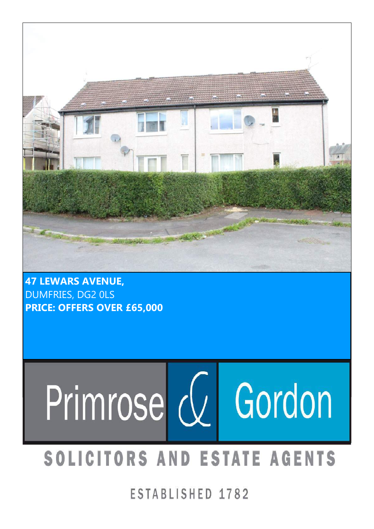

**47 LEWARS AVENUE,** DUMFRIES, DG2 0LS **PRICE: OFFERS OVER £65,000**

555 555 5555

### Name Name Name Name I 555 555 5555 55 555 555 5555 555 555 5555 555 555 555 555 5555 5<br>5<br>5 555 555 5555 555 555 5555

# SOLICITORS AND ESTATE AGENTS

ESTABLISHED 1782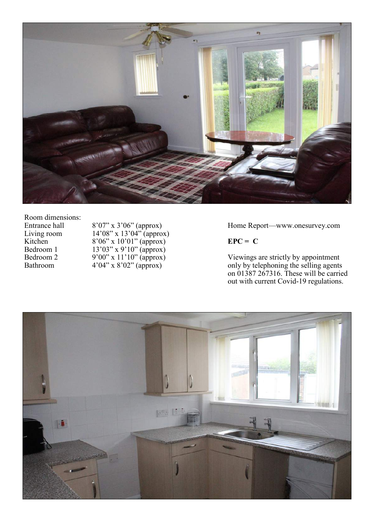

| Room dimensions: |
|------------------|
| Entrance hall    |
| Living room      |
| Kitchen          |
| Bedroom 1        |
| Bedroom 2        |
| Bathroom         |
|                  |

Entrance hall 8'07" x 3'06" (approx) Home Report Living room 14'08" x 13'04" (approx) Kitchen  $8'06'' \times 10'01''$  (approx) **EPC** = **C** Bedroom 1 13'03" x 9'10" (approx)

Home Report—www.onesurvey.com

Bedroom 2 9'00" x 11'10" (approx) Viewings are strictly by appointment Bathroom 4'04" x 8'02" (approx) only by telephoning the selling agents on 01387 267316. These will be carried out with current Covid -19 regulations.

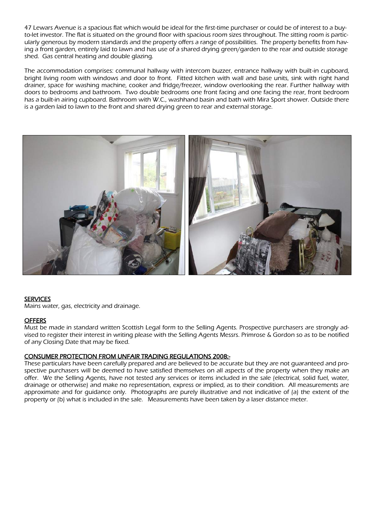47 Lewars Avenue is a spacious flat which would be ideal for the first-time purchaser or could be of interest to a buyto-let investor. The flat is situated on the ground floor with spacious room sizes throughout. The sitting room is particularly generous by modern standards and the property offers a range of possibilities. The property benefits from having a front garden, entirely laid to lawn and has use of a shared drying green/garden to the rear and outside storage shed. Gas central heating and double glazing.

The accommodation comprises: communal hallway with intercom buzzer, entrance hallway with built-in cupboard, bright living room with windows and door to front. Fitted kitchen with wall and base units, sink with right hand drainer, space for washing machine, cooker and fridge/freezer, window overlooking the rear. Further hallway with doors to bedrooms and bathroom. Two double bedrooms one front facing and one facing the rear, front bedroom has a built-in airing cupboard. Bathroom with W.C., washhand basin and bath with Mira Sport shower. Outside there is a garden laid to lawn to the front and shared drying green to rear and external storage.



#### **SERVICES**

Mains water, gas, electricity and drainage.

#### **OFFERS**

Must be made in standard written Scottish Legal form to the Selling Agents. Prospective purchasers are strongly advised to register their interest in writing please with the Selling Agents Messrs. Primrose & Gordon so as to be notified of any Closing Date that may be fixed.

#### CONSUMER PROTECTION FROM UNFAIR TRADING REGULATIONS 2008:-

These particulars have been carefully prepared and are believed to be accurate but they are not guaranteed and prospective purchasers will be deemed to have satisfied themselves on all aspects of the property when they make an offer. We the Selling Agents, have not tested any services or items included in the sale (electrical, solid fuel, water, drainage or otherwise) and make no representation, express or implied, as to their condition. All measurements are approximate and for guidance only. Photographs are purely illustrative and not indicative of (a) the extent of the property or (b) what is included in the sale. Measurements have been taken by a laser distance meter.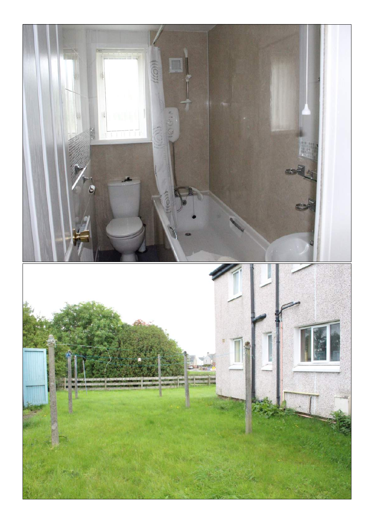